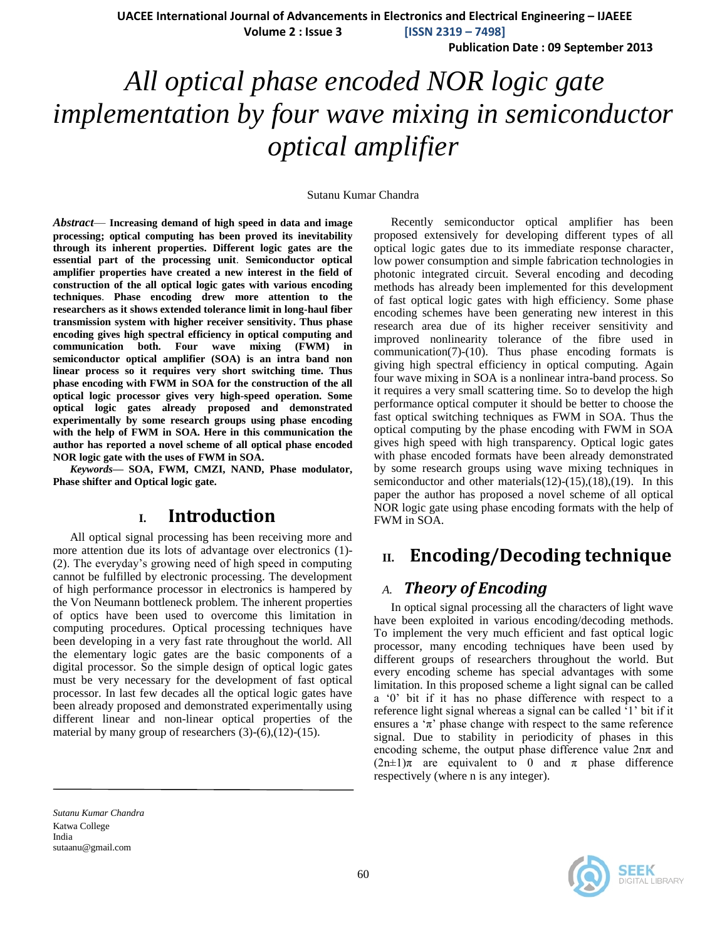**UACEE International Journal of Advancements in Electronics and Electrical Engineering – IJAEEE**

**Volume 2 : Issue 3 [ISSN 2319 – 7498]**

**Publication Date : 09 September 2013**

# *All optical phase encoded NOR logic gate implementation by four wave mixing in semiconductor optical amplifier*

#### Sutanu Kumar Chandra

*Abstract*— **Increasing demand of high speed in data and image processing; optical computing has been proved its inevitability through its inherent properties. Different logic gates are the essential part of the processing unit**. **Semiconductor optical amplifier properties have created a new interest in the field of construction of the all optical logic gates with various encoding techniques**. **Phase encoding drew more attention to the researchers as it shows extended tolerance limit in long-haul fiber transmission system with higher receiver sensitivity. Thus phase encoding gives high spectral efficiency in optical computing and communication both. Four wave mixing (FWM) in semiconductor optical amplifier (SOA) is an intra band non linear process so it requires very short switching time. Thus phase encoding with FWM in SOA for the construction of the all optical logic processor gives very high-speed operation. Some optical logic gates already proposed and demonstrated experimentally by some research groups using phase encoding with the help of FWM in SOA. Here in this communication the author has reported a novel scheme of all optical phase encoded NOR logic gate with the uses of FWM in SOA.**

*Keywords—* **SOA, FWM, CMZI, NAND, Phase modulator, Phase shifter and Optical logic gate.**

### **I. Introduction**

All optical signal processing has been receiving more and more attention due its lots of advantage over electronics (1)- (2). The everyday's growing need of high speed in computing cannot be fulfilled by electronic processing. The development of high performance processor in electronics is hampered by the Von Neumann bottleneck problem. The inherent properties of optics have been used to overcome this limitation in computing procedures. Optical processing techniques have been developing in a very fast rate throughout the world. All the elementary logic gates are the basic components of a digital processor. So the simple design of optical logic gates must be very necessary for the development of fast optical processor. In last few decades all the optical logic gates have been already proposed and demonstrated experimentally using different linear and non-linear optical properties of the material by many group of researchers (3)-(6),(12)-(15).

Recently semiconductor optical amplifier has been proposed extensively for developing different types of all optical logic gates due to its immediate response character, low power consumption and simple fabrication technologies in photonic integrated circuit. Several encoding and decoding methods has already been implemented for this development of fast optical logic gates with high efficiency. Some phase encoding schemes have been generating new interest in this research area due of its higher receiver sensitivity and improved nonlinearity tolerance of the fibre used in communication(7)-(10). Thus phase encoding formats is giving high spectral efficiency in optical computing. Again four wave mixing in SOA is a nonlinear intra-band process. So it requires a very small scattering time. So to develop the high performance optical computer it should be better to choose the fast optical switching techniques as FWM in SOA. Thus the optical computing by the phase encoding with FWM in SOA gives high speed with high transparency. Optical logic gates with phase encoded formats have been already demonstrated by some research groups using wave mixing techniques in semiconductor and other materials(12)-(15),(18),(19). In this paper the author has proposed a novel scheme of all optical NOR logic gate using phase encoding formats with the help of FWM in SOA.

## **II. Encoding/Decoding technique**

### *A. Theory of Encoding*

In optical signal processing all the characters of light wave have been exploited in various encoding/decoding methods. To implement the very much efficient and fast optical logic processor, many encoding techniques have been used by different groups of researchers throughout the world. But every encoding scheme has special advantages with some limitation. In this proposed scheme a light signal can be called a '0' bit if it has no phase difference with respect to a reference light signal whereas a signal can be called '1' bit if it ensures a  $\pi$ ' phase change with respect to the same reference signal. Due to stability in periodicity of phases in this encoding scheme, the output phase difference value  $2n\pi$  and  $(2n\pm1)\pi$  are equivalent to 0 and  $\pi$  phase difference respectively (where n is any integer).

*Sutanu Kumar Chandra* Katwa College India sutaanu@gmail.com

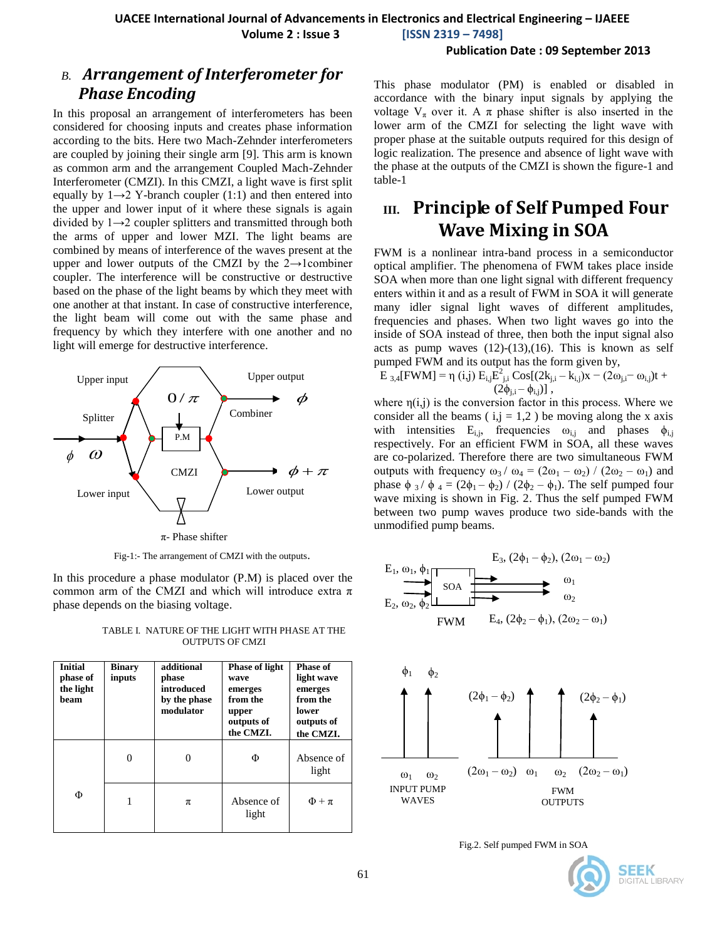**Volume 2 : Issue 3 [ISSN 2319 – 7498]**

**Publication Date : 09 September 2013**

### *B. Arrangement of Interferometer for Phase Encoding*

In this proposal an arrangement of interferometers has been considered for choosing inputs and creates phase information according to the bits. Here two Mach-Zehnder interferometers are coupled by joining their single arm [9]. This arm is known as common arm and the arrangement Coupled Mach-Zehnder Interferometer (CMZI). In this CMZI, a light wave is first split equally by  $1\rightarrow 2$  Y-branch coupler (1:1) and then entered into the upper and lower input of it where these signals is again divided by  $1\rightarrow 2$  coupler splitters and transmitted through both the arms of upper and lower MZI. The light beams are combined by means of interference of the waves present at the upper and lower outputs of the CMZI by the  $2 \rightarrow$ 1combiner coupler. The interference will be constructive or destructive based on the phase of the light beams by which they meet with one another at that instant. In case of constructive interference, the light beam will come out with the same phase and frequency by which they interfere with one another and no light will emerge for destructive interference.



Fig-1:- The arrangement of CMZI with the outputs.

In this procedure a phase modulator (P.M) is placed over the common arm of the CMZI and which will introduce extra  $\pi$ phase depends on the biasing voltage.

TABLE I. NATURE OF THE LIGHT WITH PHASE AT THE OUTPUTS OF CMZI

| <b>Initial</b><br>phase of<br>the light<br>heam | <b>Binary</b><br>inputs | additional<br>phase<br>introduced<br>by the phase<br>modulator | <b>Phase of light</b><br>wave<br>emerges<br>from the<br>upper<br>outputs of<br>the CMZI. | <b>Phase of</b><br>light wave<br>emerges<br>from the<br>lower<br>outputs of<br>the CMZI. |
|-------------------------------------------------|-------------------------|----------------------------------------------------------------|------------------------------------------------------------------------------------------|------------------------------------------------------------------------------------------|
|                                                 | 0                       |                                                                | Φ                                                                                        | Absence of<br>light                                                                      |
| Φ                                               |                         | π                                                              | Absence of<br>light                                                                      | $\Phi + \pi$                                                                             |

This phase modulator (PM) is enabled or disabled in accordance with the binary input signals by applying the voltage  $V_{\pi}$  over it. A  $\pi$  phase shifter is also inserted in the lower arm of the CMZI for selecting the light wave with proper phase at the suitable outputs required for this design of logic realization. The presence and absence of light wave with the phase at the outputs of the CMZI is shown the figure-1 and table-1

# **III. Principle of Self Pumped Four Wave Mixing in SOA**

FWM is a nonlinear intra-band process in a semiconductor optical amplifier. The phenomena of FWM takes place inside SOA when more than one light signal with different frequency enters within it and as a result of FWM in SOA it will generate many idler signal light waves of different amplitudes, frequencies and phases. When two light waves go into the inside of SOA instead of three, then both the input signal also acts as pump waves  $(12)-(13)$ , $(16)$ . This is known as self pumped FWM and its output has the form given by,

$$
E_{3,4}[FWM] = \eta(i,j) E_{i,j} E_{j,i}^2 \cos[(2k_{j,i} - k_{i,j})x - (2\omega_{j,i} - \omega_{i,j})t + (2\phi_{j,i} - \phi_{i,j})]
$$

where  $\eta(i,j)$  is the conversion factor in this process. Where we consider all the beams ( $i, j = 1,2$ ) be moving along the x axis with intensities  $E_{i,j}$ , frequencies  $\omega_{i,j}$  and phases  $\phi_{i,j}$ respectively. For an efficient FWM in SOA, all these waves are co-polarized. Therefore there are two simultaneous FWM outputs with frequency  $\omega_3 / \omega_4 = (2\omega_1 - \omega_2) / (2\omega_2 - \omega_1)$  and phase  $\phi_3 / \phi_4 = (2\phi_1 - \phi_2) / (2\phi_2 - \phi_1)$ . The self pumped four wave mixing is shown in Fig. 2. Thus the self pumped FWM between two pump waves produce two side-bands with the unmodified pump beams.





Fig.2. Self pumped FWM in SOA

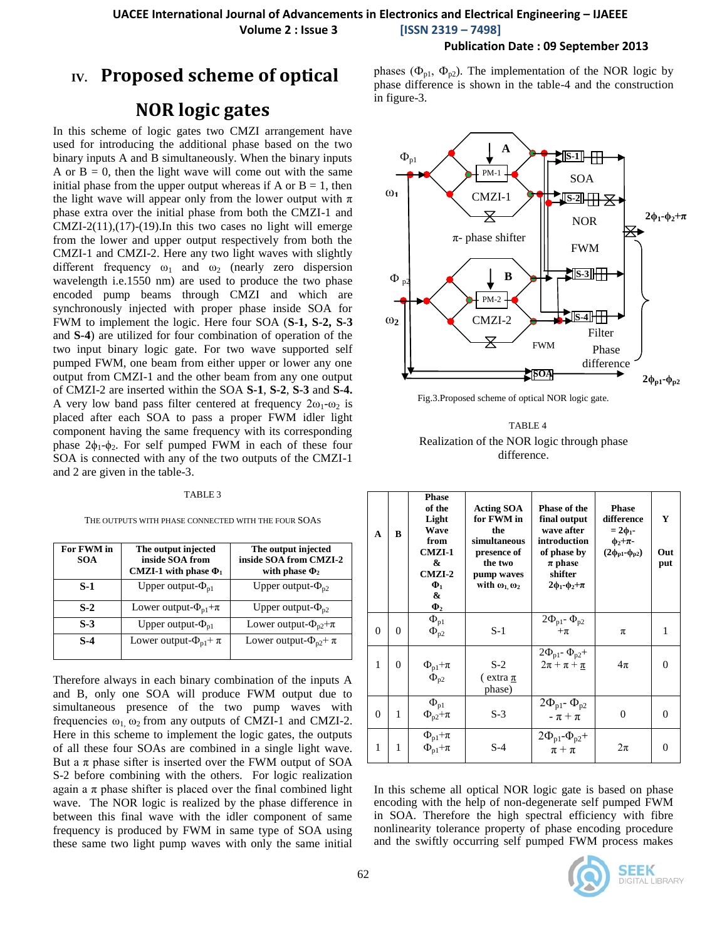### **Publication Date : 09 September 2013**

# **IV. Proposed scheme of optical**

# **NOR logic gates**

In this scheme of logic gates two CMZI arrangement have used for introducing the additional phase based on the two binary inputs A and B simultaneously. When the binary inputs A or  $B = 0$ , then the light wave will come out with the same initial phase from the upper output whereas if A or  $B = 1$ , then the light wave will appear only from the lower output with  $\pi$ phase extra over the initial phase from both the CMZI-1 and CMZI-2(11),(17)-(19). In this two cases no light will emerge from the lower and upper output respectively from both the CMZI-1 and CMZI-2. Here any two light waves with slightly different frequency  $\omega_1$  and  $\omega_2$  (nearly zero dispersion wavelength i.e.1550 nm) are used to produce the two phase encoded pump beams through CMZI and which are synchronously injected with proper phase inside SOA for FWM to implement the logic. Here four SOA (**S-1, S-2, S-3** and **S-4**) are utilized for four combination of operation of the two input binary logic gate. For two wave supported self pumped FWM, one beam from either upper or lower any one output from CMZI-1 and the other beam from any one output of CMZI-2 are inserted within the SOA **S-1**, **S-2**, **S-3** and **S-4.**  A very low band pass filter centered at frequency  $2\omega_1-\omega_2$  is placed after each SOA to pass a proper FWM idler light component having the same frequency with its corresponding phase  $2\phi_1-\phi_2$ . For self pumped FWM in each of these four SOA is connected with any of the two outputs of the CMZI-1 and 2 are given in the table-3.

#### TABLE 3

THE OUTPUTS WITH PHASE CONNECTED WITH THE FOUR SOAS

| For FWM in<br><b>SOA</b> | The output injected<br>inside SOA from<br>CMZI-1 with phase $\Phi_1$ | The output injected<br>inside SOA from CMZI-2<br>with phase $\Phi_2$ |
|--------------------------|----------------------------------------------------------------------|----------------------------------------------------------------------|
| $S-1$                    | Upper output- $\Phi_{\rm nl}$                                        | Upper output- $\Phi_{p2}$                                            |
| $S-2$                    | Lower output- $\Phi_{p1} + \pi$                                      | Upper output- $\Phi_{p2}$                                            |
| $S-3$                    | Upper output- $\Phi_{p1}$                                            | Lower output- $\Phi_{p2}+\pi$                                        |
| $S-4$                    | Lower output- $\Phi_{p1} + \pi$                                      | Lower output- $\Phi_{p2} + \pi$                                      |

Therefore always in each binary combination of the inputs A and B, only one SOA will produce FWM output due to simultaneous presence of the two pump waves with frequencies  $\omega_1$ ,  $\omega_2$  from any outputs of CMZI-1 and CMZI-2. Here in this scheme to implement the logic gates, the outputs of all these four SOAs are combined in a single light wave. But a  $\pi$  phase sifter is inserted over the FWM output of SOA S-2 before combining with the others. For logic realization again a  $\pi$  phase shifter is placed over the final combined light wave. The NOR logic is realized by the phase difference in between this final wave with the idler component of same frequency is produced by FWM in same type of SOA using these same two light pump waves with only the same initial phases ( $\Phi_{p1}$ ,  $\Phi_{p2}$ ). The implementation of the NOR logic by phase difference is shown in the table-4 and the construction in figure-3.



Fig.3.Proposed scheme of optical NOR logic gate.

| TABLE 4                                    |
|--------------------------------------------|
| Realization of the NOR logic through phase |
| difference.                                |

| A        | B              | <b>Phase</b><br>of the<br>Light<br><b>Wave</b><br>from<br>$CMZI-1$<br>&<br>$CMZI-2$<br>$\Phi_1$<br>&<br>$\Phi_2$ | <b>Acting SOA</b><br>for FWM in<br>the<br>simultaneous<br>presence of<br>the two<br>pump waves<br>with $\omega_1 \omega_2$ | <b>Phase of the</b><br>final output<br>wave after<br>introduction<br>of phase by<br>$\pi$ phase<br>shifter<br>$2\phi_1-\phi_2+\pi$ | <b>Phase</b><br>difference<br>$= 2\phi_1$<br>$\phi_2+\pi$ -<br>$(2\phi_{p1}\phi_{p2})$ | Y<br>Out<br>put |
|----------|----------------|------------------------------------------------------------------------------------------------------------------|----------------------------------------------------------------------------------------------------------------------------|------------------------------------------------------------------------------------------------------------------------------------|----------------------------------------------------------------------------------------|-----------------|
| $\theta$ | $\theta$       | $\Phi_{\text{p1}}$<br>$\Phi_{p2}$                                                                                | S-1                                                                                                                        | $2\Phi_{\text{pl}}$ - $\Phi_{\text{p2}}$<br>$+\pi$                                                                                 | π                                                                                      | 1               |
| 1        | $\overline{0}$ | $\Phi_{p1}+\pi$<br>$\Phi_{p2}$                                                                                   | $S-2$<br>$\epsilon$ extra $\pi$<br>phase)                                                                                  | $2\Phi_{p1}$ - $\Phi_{p2}$ +<br>$2\pi + \pi + \pi$                                                                                 | $4\pi$                                                                                 | 0               |
| $\Omega$ | 1              | $\Phi_{\text{p1}}$<br>$\Phi_{p2}+\pi$                                                                            | $S-3$                                                                                                                      | $2\Phi_{\text{pl}}$ - $\Phi_{\text{p2}}$<br>$-\pi + \pi$                                                                           | $\Omega$                                                                               | $\Omega$        |
| 1        | 1              | $\Phi_{\text{p1}}+\pi$<br>$\Phi_{\text{pl}}+\pi$                                                                 | $S-4$                                                                                                                      | $2\Phi_{p1}\Phi_{p2}+$<br>$\pi$ + $\pi$                                                                                            | $2\pi$                                                                                 | 0               |

In this scheme all optical NOR logic gate is based on phase encoding with the help of non-degenerate self pumped FWM in SOA. Therefore the high spectral efficiency with fibre nonlinearity tolerance property of phase encoding procedure and the swiftly occurring self pumped FWM process makes